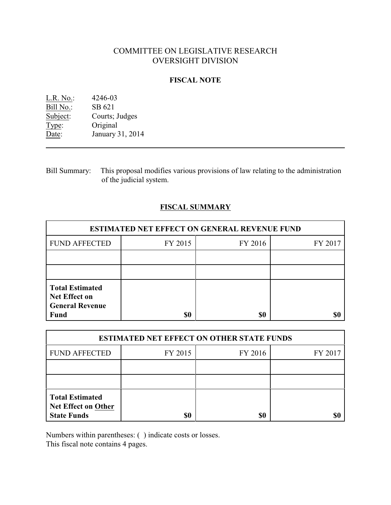# COMMITTEE ON LEGISLATIVE RESEARCH OVERSIGHT DIVISION

## **FISCAL NOTE**

| $L.R. No.$ : | 4246-03          |
|--------------|------------------|
| Bill No.:    | SB 621           |
| Subject:     | Courts; Judges   |
| Type:        | Original         |
| Date:        | January 31, 2014 |

Bill Summary: This proposal modifies various provisions of law relating to the administration of the judicial system.

## **FISCAL SUMMARY**

| <b>ESTIMATED NET EFFECT ON GENERAL REVENUE FUND</b>                                     |         |         |         |  |
|-----------------------------------------------------------------------------------------|---------|---------|---------|--|
| <b>FUND AFFECTED</b>                                                                    | FY 2015 | FY 2016 | FY 2017 |  |
|                                                                                         |         |         |         |  |
|                                                                                         |         |         |         |  |
| <b>Total Estimated</b><br><b>Net Effect on</b><br><b>General Revenue</b><br><b>Fund</b> | \$0     | \$0     |         |  |

| <b>ESTIMATED NET EFFECT ON OTHER STATE FUNDS</b>                           |         |         |         |  |
|----------------------------------------------------------------------------|---------|---------|---------|--|
| <b>FUND AFFECTED</b>                                                       | FY 2015 | FY 2016 | FY 2017 |  |
|                                                                            |         |         |         |  |
|                                                                            |         |         |         |  |
| <b>Total Estimated</b><br><b>Net Effect on Other</b><br><b>State Funds</b> | \$0     | \$0     |         |  |

Numbers within parentheses: ( ) indicate costs or losses.

This fiscal note contains 4 pages.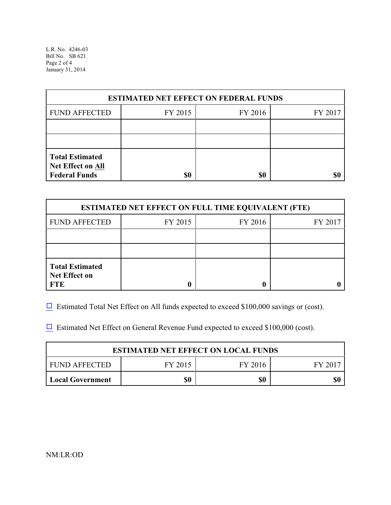L.R. No. 4246-03 Bill No. SB 621 Page 2 of 4 January 31, 2014

| <b>ESTIMATED NET EFFECT ON FEDERAL FUNDS</b>                        |         |         |         |  |
|---------------------------------------------------------------------|---------|---------|---------|--|
| <b>FUND AFFECTED</b>                                                | FY 2015 | FY 2016 | FY 2017 |  |
|                                                                     |         |         |         |  |
|                                                                     |         |         |         |  |
| <b>Total Estimated</b><br>Net Effect on All<br><b>Federal Funds</b> | \$0     | \$0     |         |  |

| <b>ESTIMATED NET EFFECT ON FULL TIME EQUIVALENT (FTE)</b>    |         |         |         |  |
|--------------------------------------------------------------|---------|---------|---------|--|
| <b>FUND AFFECTED</b>                                         | FY 2015 | FY 2016 | FY 2017 |  |
|                                                              |         |         |         |  |
|                                                              |         |         |         |  |
| <b>Total Estimated</b><br><b>Net Effect on</b><br><b>FTE</b> |         |         |         |  |

 $\Box$  Estimated Total Net Effect on All funds expected to exceed \$100,000 savings or (cost).

 $\Box$  Estimated Net Effect on General Revenue Fund expected to exceed \$100,000 (cost).

| <b>ESTIMATED NET EFFECT ON LOCAL FUNDS</b>   |  |  |  |  |  |
|----------------------------------------------|--|--|--|--|--|
| FUND AFFECTED<br>FY 2015<br>FY 2016<br>FV 20 |  |  |  |  |  |
| \$0<br>\$0<br><b>Local Government</b>        |  |  |  |  |  |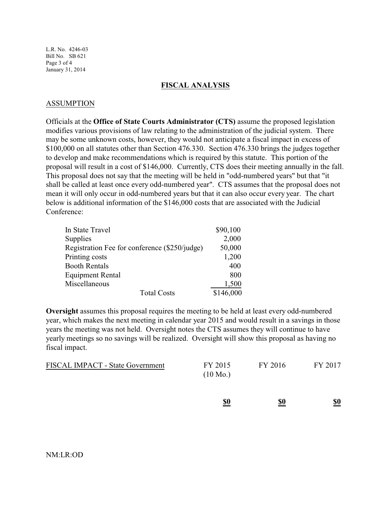L.R. No. 4246-03 Bill No. SB 621 Page 3 of 4 January 31, 2014

#### **FISCAL ANALYSIS**

### ASSUMPTION

Officials at the **Office of State Courts Administrator (CTS)** assume the proposed legislation modifies various provisions of law relating to the administration of the judicial system. There may be some unknown costs, however, they would not anticipate a fiscal impact in excess of \$100,000 on all statutes other than Section 476.330. Section 476.330 brings the judges together to develop and make recommendations which is required by this statute. This portion of the proposal will result in a cost of \$146,000. Currently, CTS does their meeting annually in the fall. This proposal does not say that the meeting will be held in "odd-numbered years" but that "it shall be called at least once every odd-numbered year". CTS assumes that the proposal does not mean it will only occur in odd-numbered years but that it can also occur every year. The chart below is additional information of the \$146,000 costs that are associated with the Judicial Conference:

| In State Travel                               | \$90,100  |
|-----------------------------------------------|-----------|
| Supplies                                      | 2,000     |
| Registration Fee for conference (\$250/judge) | 50,000    |
| Printing costs                                | 1,200     |
| <b>Booth Rentals</b>                          | 400       |
| <b>Equipment Rental</b>                       | 800       |
| Miscellaneous                                 | 1,500     |
| <b>Total Costs</b>                            | \$146,000 |

**Oversight** assumes this proposal requires the meeting to be held at least every odd-numbered year, which makes the next meeting in calendar year 2015 and would result in a savings in those years the meeting was not held. Oversight notes the CTS assumes they will continue to have yearly meetings so no savings will be realized. Oversight will show this proposal as having no fiscal impact.

|                                  | <u>\$0</u>                    | $\underline{\underline{\$0}}$ | $\underline{\underline{\$0}}$ |
|----------------------------------|-------------------------------|-------------------------------|-------------------------------|
| FISCAL IMPACT - State Government | FY 2015<br>$(10 \text{ Mo.})$ | FY 2016                       | FY 2017                       |